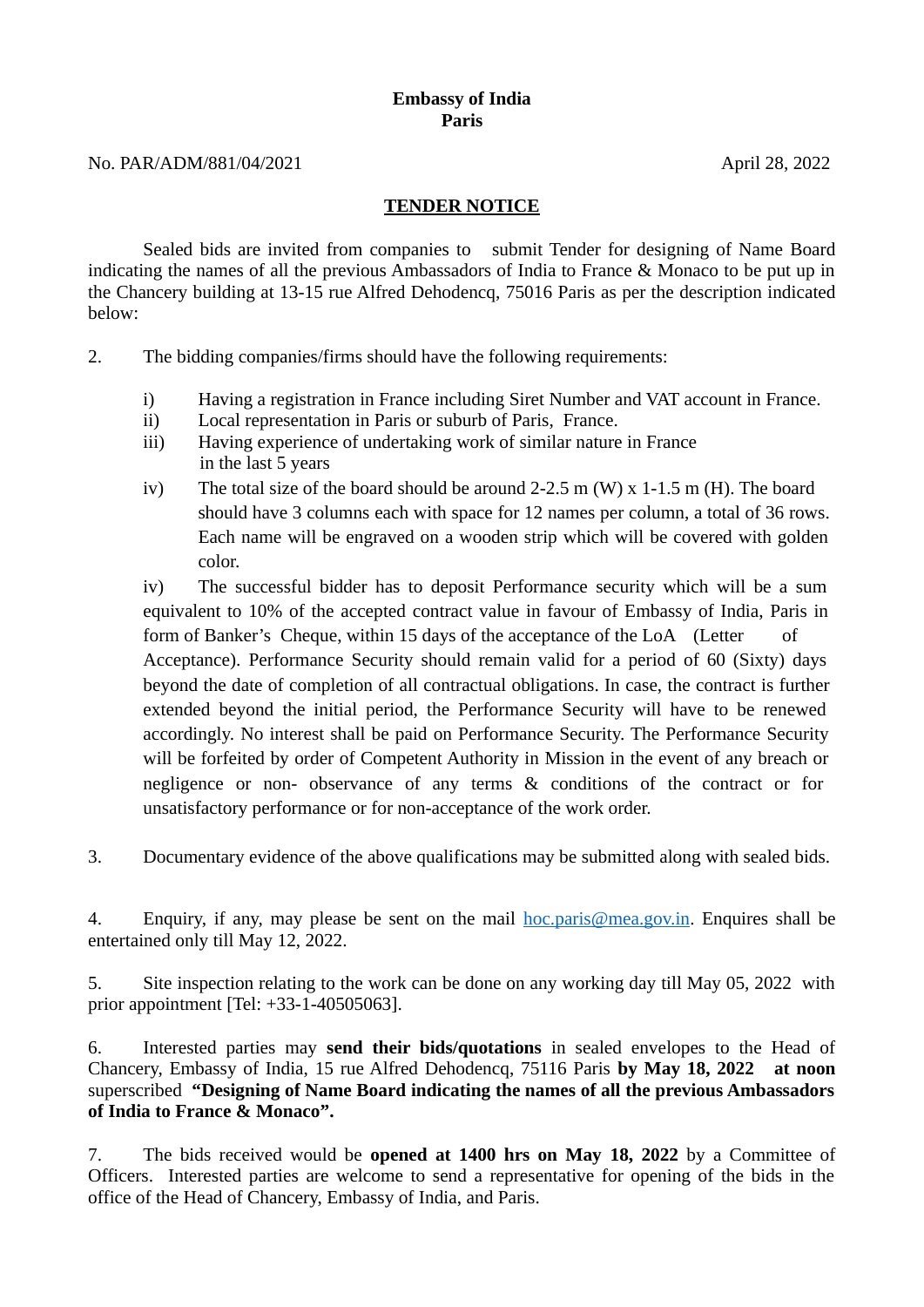## **Embassy of India Paris**

## **TENDER NOTICE**

Sealed bids are invited from companies to submit Tender for designing of Name Board indicating the names of all the previous Ambassadors of India to France & Monaco to be put up in the Chancery building at 13-15 rue Alfred Dehodencq, 75016 Paris as per the description indicated below:

- 2. The bidding companies/firms should have the following requirements:
	- i) Having a registration in France including Siret Number and VAT account in France.
	- ii) Local representation in Paris or suburb of Paris, France.
	- iii) Having experience of undertaking work of similar nature in France in the last 5 years
	- iv) The total size of the board should be around 2-2.5 m (W)  $x$  1-1.5 m (H). The board should have 3 columns each with space for 12 names per column, a total of 36 rows. Each name will be engraved on a wooden strip which will be covered with golden color.

iv) The successful bidder has to deposit Performance security which will be a sum equivalent to 10% of the accepted contract value in favour of Embassy of India, Paris in form of Banker's Cheque, within 15 days of the acceptance of the LoA (Letter of Acceptance). Performance Security should remain valid for a period of 60 (Sixty) days beyond the date of completion of all contractual obligations. In case, the contract is further extended beyond the initial period, the Performance Security will have to be renewed accordingly. No interest shall be paid on Performance Security. The Performance Security will be forfeited by order of Competent Authority in Mission in the event of any breach or negligence or non- observance of any terms & conditions of the contract or for unsatisfactory performance or for non-acceptance of the work order.

3. Documentary evidence of the above qualifications may be submitted along with sealed bids.

4. Enquiry, if any, may please be sent on the mail  $hoc .paris@mea.gov.in.$  Enquires shall be</u> entertained only till May 12, 2022.

5. Site inspection relating to the work can be done on any working day till May 05, 2022 with prior appointment [Tel: +33-1-40505063].

6. Interested parties may **send their bids/quotations** in sealed envelopes to the Head of Chancery, Embassy of India, 15 rue Alfred Dehodencq, 75116 Paris **by May 18, 2022 at noon** superscribed **"Designing of Name Board indicating the names of all the previous Ambassadors of India to France & Monaco".**

7. The bids received would be **opened at 1400 hrs on May 18, 2022** by a Committee of Officers. Interested parties are welcome to send a representative for opening of the bids in the office of the Head of Chancery, Embassy of India, and Paris.